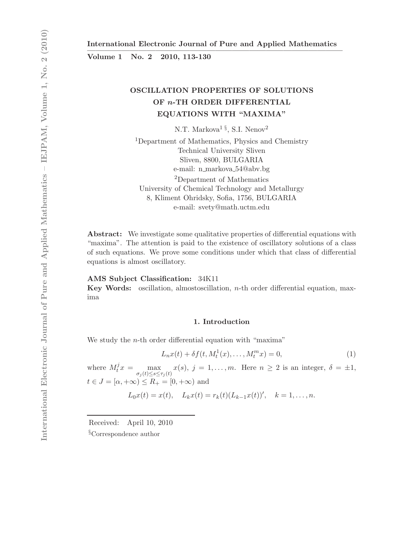Volume 1 No. 2 2010, 113-130

# OSCILLATION PROPERTIES OF SOLUTIONS OF n-TH ORDER DIFFERENTIAL EQUATIONS WITH "MAXIMA"

N.T. Markova<sup>1§</sup>, S.I. Nenov<sup>2</sup>

<sup>1</sup>Department of Mathematics, Physics and Chemistry Technical University Sliven Sliven, 8800, BULGARIA e-mail: n markova 54@abv.bg <sup>2</sup>Department of Mathematics University of Chemical Technology and Metallurgy 8, Kliment Ohridsky, Sofia, 1756, BULGARIA e-mail: svety@math.uctm.edu

Abstract: We investigate some qualitative properties of differential equations with "maxima". The attention is paid to the existence of oscillatory solutions of a class of such equations. We prove some conditions under which that class of differential equations is almost oscillatory.

#### AMS Subject Classification: 34K11

Key Words: oscillation, almostoscillation, n-th order differential equation, maxima

## 1. Introduction

We study the *n*-th order differential equation with "maxima"

$$
L_n x(t) + \delta f(t, M_t^1(x), \dots, M_t^m x) = 0,
$$
\n(1)

where  $M_t^j x = \max_{\sigma_j(t) \le s \le \tau_j(t)} x(s), j = 1, \ldots, m$ . Here  $n \ge 2$  is an integer,  $\delta = \pm 1$ ,  $t \in J = [\alpha, +\infty) \leq R_+ = [0, +\infty)$  and

$$
L_0x(t) = x(t),
$$
  $L_kx(t) = r_k(t)(L_{k-1}x(t))'$ ,  $k = 1,...,n$ .

Received: April 10, 2010

§Correspondence author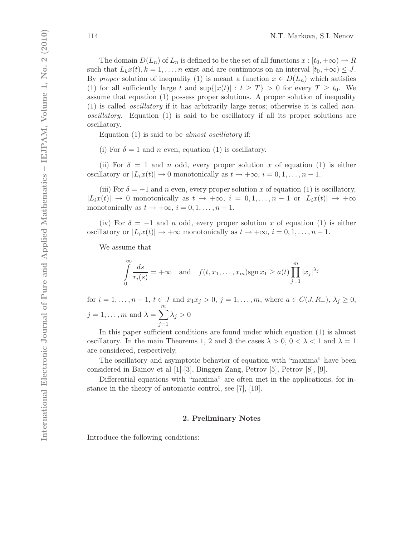The domain  $D(L_n)$  of  $L_n$  is defined to be the set of all functions  $x : [t_0, +\infty) \to R$ such that  $L_kx(t), k = 1, ..., n$  exist and are continuous on an interval  $[t_0, +\infty) \leq J$ . By proper solution of inequality (1) is meant a function  $x \in D(L_n)$  which satisfies (1) for all sufficiently large t and  $\sup\{|x(t)| : t \geq T\} > 0$  for every  $T \geq t_0$ . We assume that equation (1) possess proper solutions. A proper solution of inequality (1) is called oscillatory if it has arbitrarily large zeros; otherwise it is called nonoscillatory. Equation (1) is said to be oscillatory if all its proper solutions are oscillatory.

Equation (1) is said to be almost oscillatory if:

(i) For  $\delta = 1$  and n even, equation (1) is oscillatory.

(ii) For  $\delta = 1$  and n odd, every proper solution x of equation (1) is either oscillatory or  $|L_i x(t)| \to 0$  monotonically as  $t \to +\infty$ ,  $i = 0, 1, \ldots, n - 1$ .

(iii) For  $\delta = -1$  and n even, every proper solution x of equation (1) is oscillatory,  $|L_ix(t)| \to 0$  monotonically as  $t \to +\infty$ ,  $i = 0, 1, \ldots, n-1$  or  $|L_ix(t)| \to +\infty$ monotonically as  $t \to +\infty$ ,  $i = 0, 1, \ldots, n - 1$ .

(iv) For  $\delta = -1$  and n odd, every proper solution x of equation (1) is either oscillatory or  $|L_ix(t)| \to +\infty$  monotonically as  $t \to +\infty$ ,  $i = 0, 1, \ldots, n - 1$ .

We assume that

$$
\int_{0}^{\infty} \frac{ds}{r_i(s)} = +\infty \quad \text{and} \quad f(t, x_1, \dots, x_m) \text{sgn } x_1 \ge a(t) \prod_{j=1}^{m} |x_j|^{\lambda_j}
$$

for  $i = 1, ..., n - 1, t \in J$  and  $x_1x_j > 0, j = 1, ..., m$ , where  $a \in C(J, R_+), \lambda_j \ge 0$ ,  $j = 1, \ldots, m$  and  $\lambda = \sum_{n=1}^{m}$  $j=1$  $\lambda_j > 0$ 

In this paper sufficient conditions are found under which equation (1) is almost oscillatory. In the main Theorems 1, 2 and 3 the cases  $\lambda > 0$ ,  $0 < \lambda < 1$  and  $\lambda = 1$ are considered, respectively.

The oscillatory and asymptotic behavior of equation with "maxima" have been considered in Bainov et al [1]-[3], Binggen Zang, Petrov [5], Petrov [8], [9].

Differential equations with "maxima" are often met in the applications, for instance in the theory of automatic control, see [7], [10].

## 2. Preliminary Notes

Introduce the following conditions: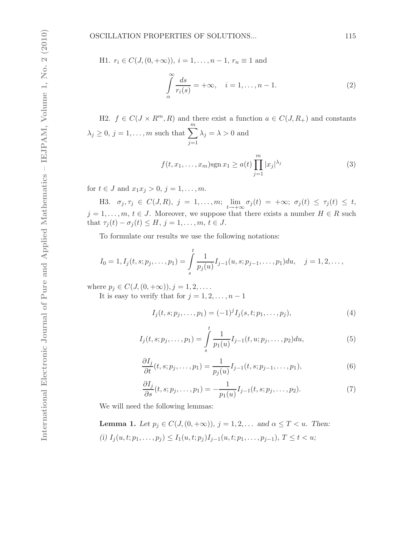H1. 
$$
r_i \in C(J, (0, +\infty)), i = 1, ..., n - 1, r_n \equiv 1 \text{ and}
$$
  

$$
\int_{\alpha}^{\infty} \frac{ds}{r_i(s)} = +\infty, \quad i = 1, ..., n - 1.
$$
 (2)

H2.  $f \in C(J \times R^m, R)$  and there exist a function  $a \in C(J, R_+)$  and constants  $\lambda_j \geq 0, j = 1, \ldots, m$  such that  $\sum_{j=1}^{m}$  $j=1$  $\lambda_j = \lambda > 0$  and

$$
f(t, x_1, \dots, x_m) \operatorname{sgn} x_1 \ge a(t) \prod_{j=1}^m |x_j|^{\lambda_j}
$$
 (3)

for  $t \in J$  and  $x_1x_j > 0$ ,  $j = 1, ..., m$ .

H3.  $\sigma_j, \tau_j \in C(J, R), j = 1, \ldots, m; \lim_{t \to +\infty} \sigma_j(t) = +\infty; \sigma_j(t) \leq \tau_j(t) \leq t$  $j = 1, \ldots, m, t \in J$ . Moreover, we suppose that there exists a number  $H \in R$  such that  $\tau_j(t) - \sigma_j(t) \leq H, j = 1, \ldots, m, t \in J$ .

To formulate our results we use the following notations:

$$
I_0 = 1, I_j(t, s; p_j, \dots, p_1) = \int_s^t \frac{1}{p_j(u)} I_{j-1}(u, s; p_{j-1}, \dots, p_1) du, \quad j = 1, 2, \dots,
$$

where  $p_j \in C(J, (0, +\infty)), j = 1, 2, \ldots$ .

It is easy to verify that for  $j = 1, 2, \ldots, n - 1$ 

$$
I_j(t, s; p_j, \dots, p_1) = (-1)^j I_j(s, t; p_1, \dots, p_j),
$$
\n(4)

$$
I_j(t, s; p_j, \dots, p_1) = \int_s^t \frac{1}{p_1(u)} I_{j-1}(t, u; p_j, \dots, p_2) du,
$$
\n(5)

$$
\frac{\partial I_j}{\partial t}(t, s; p_j, \dots, p_1) = \frac{1}{p_j(u)} I_{j-1}(t, s; p_{j-1}, \dots, p_1),\tag{6}
$$

$$
\frac{\partial I_j}{\partial s}(t, s; p_j, \dots, p_1) = -\frac{1}{p_1(u)} I_{j-1}(t, s; p_j, \dots, p_2).
$$
\n(7)

We will need the following lemmas:

**Lemma 1.** Let  $p_j \in C(J, (0, +\infty)), j = 1, 2, \ldots$  and  $\alpha \leq T < u$ . Then: (i)  $I_j(u, t; p_1, \ldots, p_j) \leq I_1(u, t; p_j) I_{j-1}(u, t; p_1, \ldots, p_{j-1}), T \leq t < u;$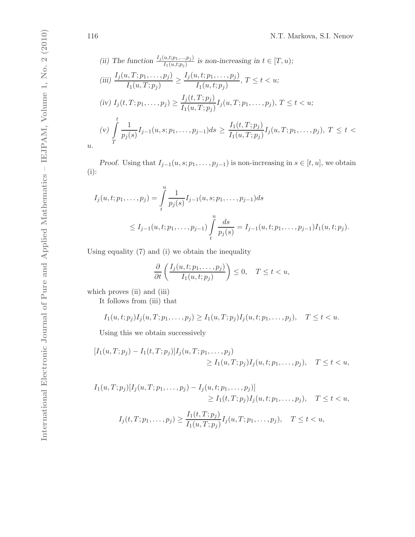(ii) The function 
$$
\frac{I_j(u,t;p_1,...,p_j)}{I_1(u,t;p_j)}
$$
 is non-increasing in  $t \in [T, u)$ ;  
\n(iii)  $\frac{I_j(u, T; p_1,..., p_j)}{I_1(u, T; p_j)} \ge \frac{I_j(u, t; p_1,..., p_j)}{I_1(u, t; p_j)}, T \le t < u$ ;  
\n(iv)  $I_j(t, T; p_1,..., p_j) \ge \frac{I_j(t, T; p_j)}{I_1(u, T; p_j)} I_j(u, T; p_1,..., p_j), T \le t < u$ ;  
\n(v)  $\int_{T}^{t} \frac{1}{p_j(s)} I_{j-1}(u, s; p_1,..., p_{j-1}) ds \ge \frac{I_1(t, T; p_j)}{I_1(u, T; p_j)} I_j(u, T; p_1,..., p_j), T \le t <$ 

*Proof.* Using that  $I_{j-1}(u, s; p_1, \ldots, p_{j-1})$  is non-increasing in  $s \in [t, u]$ , we obtain (i):

$$
I_j(u, t; p_1, \dots, p_j) = \int_t^u \frac{1}{p_j(s)} I_{j-1}(u, s; p_1, \dots, p_{j-1}) ds
$$
  
 
$$
\leq I_{j-1}(u, t; p_1, \dots, p_{j-1}) \int_t^u \frac{ds}{p_j(s)} = I_{j-1}(u, t; p_1, \dots, p_{j-1}) I_1(u, t; p_j).
$$

Using equality (7) and (i) we obtain the inequality

$$
\frac{\partial}{\partial t}\left(\frac{I_j(u,t;p_1,\ldots,p_j)}{I_1(u,t;p_j)}\right)\leq 0, \quad T\leq t < u,
$$

which proves (ii) and (iii)

It follows from (iii) that

$$
I_1(u, t; p_j)I_j(u, T; p_1, \dots, p_j) \geq I_1(u, T; p_j)I_j(u, t; p_1, \dots, p_j), \quad T \leq t < u.
$$

Using this we obtain successively

$$
[I_1(u, T; p_j) - I_1(t, T; p_j)]I_j(u, T; p_1, \dots, p_j)
$$
  
\n
$$
\geq I_1(u, T; p_j)I_j(u, t; p_1, \dots, p_j), \quad T \leq t < u,
$$

$$
I_1(u, T; p_j)[I_j(u, T; p_1, ..., p_j) - I_j(u, t; p_1, ..., p_j)]
$$
  
\n
$$
\geq I_1(t, T; p_j)I_j(u, t; p_1, ..., p_j), \quad T \leq t < u,
$$
  
\n
$$
I_j(t, T; p_1, ..., p_j) \geq \frac{I_1(t, T; p_j)}{I_1(u, T; p_j)}I_j(u, T; p_1, ..., p_j), \quad T \leq t < u,
$$

 $\overline{u}$ .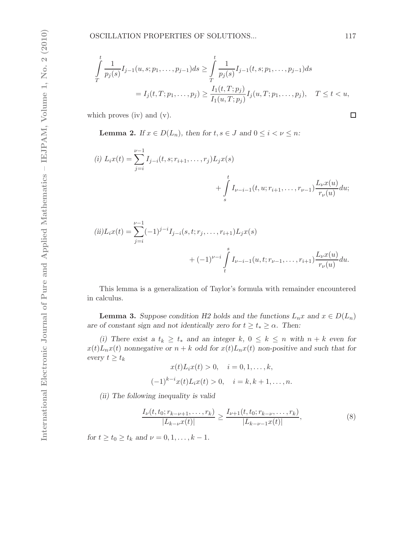$$
\int_{T}^{t} \frac{1}{p_j(s)} I_{j-1}(u, s; p_1, \dots, p_{j-1}) ds \ge \int_{T}^{t} \frac{1}{p_j(s)} I_{j-1}(t, s; p_1, \dots, p_{j-1}) ds
$$
\n
$$
= I_j(t, T; p_1, \dots, p_j) \ge \frac{I_1(t, T; p_j)}{I_1(u, T; p_j)} I_j(u, T; p_1, \dots, p_j), \quad T \le t < u,
$$

which proves (iv) and (v).

**Lemma 2.** If  $x \in D(L_n)$ , then for  $t, s \in J$  and  $0 \le i \le \nu \le n$ :

(i) 
$$
L_i x(t) = \sum_{j=i}^{\nu-1} I_{j-i}(t, s; r_{i+1}, \dots, r_j) L_j x(s)
$$
  
 
$$
+ \int_s^t I_{\nu-i-1}(t, u; r_{i+1}, \dots, r_{\nu-1}) \frac{L_{\nu} x(u)}{r_{\nu}(u)} du;
$$

(ii) 
$$
L_i x(t) = \sum_{j=i}^{\nu-1} (-1)^{j-i} I_{j-i}(s, t; r_j, \dots, r_{i+1}) L_j x(s)
$$
  
 
$$
+ (-1)^{\nu-i} \int_t^s I_{\nu-i-1}(u, t; r_{\nu-1}, \dots, r_{i+1}) \frac{L_\nu x(u)}{r_\nu(u)} du.
$$

This lemma is a generalization of Taylor's formula with remainder encountered in calculus.

**Lemma 3.** Suppose condition H2 holds and the functions  $L_n x$  and  $x \in D(L_n)$ are of constant sign and not identically zero for  $t \geq t_* \geq \alpha$ . Then:

(i) There exist a  $t_k \geq t_*$  and an integer k,  $0 \leq k \leq n$  with  $n + k$  even for  $x(t)L_nx(t)$  nonnegative or  $n+k$  odd for  $x(t)L_nx(t)$  non-positive and such that for every  $t \geq t_k$ 

$$
x(t)L_i x(t) > 0, \quad i = 0, 1, ..., k,
$$
  

$$
(-1)^{k-i} x(t)L_i x(t) > 0, \quad i = k, k+1, ..., n
$$

(ii) The following inequality is valid

$$
\frac{I_{\nu}(t, t_0; r_{k-\nu+1}, \dots, r_k)}{|L_{k-\nu}x(t)|} \ge \frac{I_{\nu+1}(t, t_0; r_{k-\nu}, \dots, r_k)}{|L_{k-\nu-1}x(t)|},
$$
\n(8)

for  $t \ge t_0 \ge t_k$  and  $\nu = 0, 1, ..., k - 1$ .

 $\Box$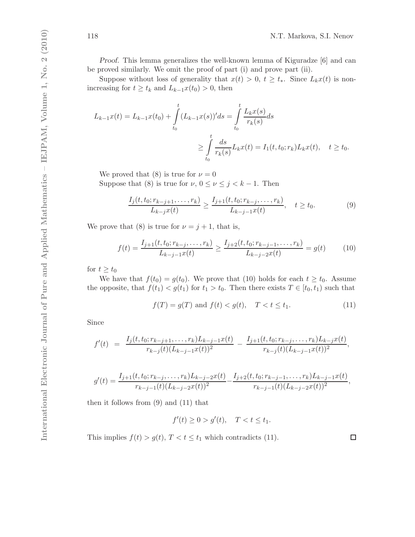Proof. This lemma generalizes the well-known lemma of Kiguradze [6] and can be proved similarly. We omit the proof of part (i) and prove part (ii).

Suppose without loss of generality that  $x(t) > 0, t \geq t_*$ . Since  $L_kx(t)$  is nonincreasing for  $t \geq t_k$  and  $L_{k-1}x(t_0) > 0$ , then

$$
L_{k-1}x(t) = L_{k-1}x(t_0) + \int_{t_0}^t (L_{k-1}x(s))'ds = \int_{t_0}^t \frac{L_kx(s)}{r_k(s)}ds
$$
  

$$
\geq \int_{t_0}^t \frac{ds}{r_k(s)}L_kx(t) = I_1(t, t_0; r_k)L_kx(t), \quad t \geq t_0.
$$

We proved that (8) is true for  $\nu = 0$ 

Suppose that (8) is true for  $\nu$ ,  $0 \le \nu \le j < k - 1$ . Then

$$
\frac{I_j(t, t_0; r_{k-j+1}, \dots, r_k)}{L_{k-j}x(t)} \ge \frac{I_{j+1}(t, t_0; r_{k-j}, \dots, r_k)}{L_{k-j-1}x(t)}, \quad t \ge t_0.
$$
 (9)

We prove that (8) is true for  $\nu = j + 1$ , that is,

$$
f(t) = \frac{I_{j+1}(t, t_0; r_{k-j}, \dots, r_k)}{L_{k-j-1}x(t)} \ge \frac{I_{j+2}(t, t_0; r_{k-j-1}, \dots, r_k)}{L_{k-j-2}x(t)} = g(t) \tag{10}
$$

for  $t \geq t_0$ 

We have that  $f(t_0) = g(t_0)$ . We prove that (10) holds for each  $t \ge t_0$ . Assume the opposite, that  $f(t_1) < g(t_1)$  for  $t_1 > t_0$ . Then there exists  $T \in [t_0, t_1)$  such that

$$
f(T) = g(T)
$$
 and  $f(t) < g(t)$ ,  $T < t \le t_1$ . (11)

Since

f

$$
f'(t) = \frac{I_j(t, t_0; r_{k-j+1}, \dots, r_k)L_{k-j-1}x(t)}{r_{k-j}(t)(L_{k-j-1}x(t))^2} - \frac{I_{j+1}(t, t_0; r_{k-j}, \dots, r_k)L_{k-j}x(t)}{r_{k-j}(t)(L_{k-j-1}x(t))^2},
$$

$$
g'(t) = \frac{I_{j+1}(t, t_0; r_{k-j}, \dots, r_k)L_{k-j-2}x(t)}{r_{k-j-1}(t)(L_{k-j-2}x(t))^2} - \frac{I_{j+2}(t, t_0; r_{k-j-1}, \dots, r_k)L_{k-j-1}x(t)}{r_{k-j-1}(t)(L_{k-j-2}x(t))^2},
$$

then it follows from (9) and (11) that

$$
f'(t) \ge 0 > g'(t), \quad T < t \le t_1.
$$

This implies  $f(t) > g(t)$ ,  $T < t \leq t_1$  which contradicts (11).

 $\Box$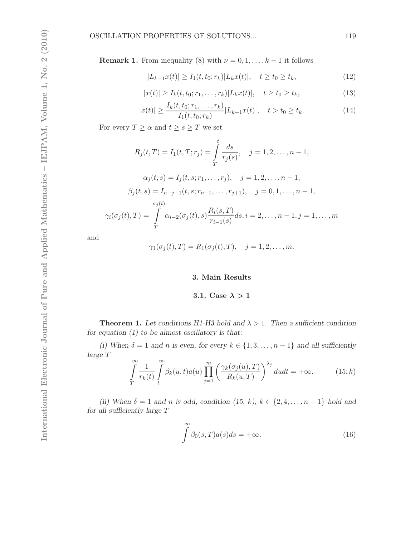**Remark 1.** From inequality (8) with  $\nu = 0, 1, \ldots, k - 1$  it follows

$$
|L_{k-1}x(t)| \ge I_1(t, t_0; r_k)|L_kx(t)|, \quad t \ge t_0 \ge t_k,
$$
\n(12)

$$
|x(t)| \ge I_k(t, t_0; r_1, \dots, r_k)|L_k x(t)|, \quad t \ge t_0 \ge t_k,
$$
\n(13)

$$
|x(t)| \ge \frac{I_k(t, t_0; r_1, \dots, r_k)}{I_1(t, t_0; r_k)} |L_{k-1}x(t)|, \quad t > t_0 \ge t_k.
$$
 (14)

For every  $T \geq \alpha$  and  $t \geq s \geq T$  we set

$$
R_j(t,T) = I_1(t,T; r_j) = \int_{T}^{t} \frac{ds}{r_j(s)}, \quad j = 1, 2, \dots, n-1,
$$

$$
\alpha_i(t,s) = I_i(t,s; r_1, \dots, r_i), \quad i = 1, 2, \dots, n-1.
$$

$$
\alpha_j(t, s) = I_j(t, s, r_1, \dots, r_j), \quad j = 1, 2, \dots, n - 1,
$$
  

$$
\beta_j(t, s) = I_{n-j-1}(t, s; r_{n-1}, \dots, r_{j+1}), \quad j = 0, 1, \dots, n - 1,
$$
  

$$
\gamma_i(\sigma_j(t), T) = \int_T^{\sigma_j(t)} \alpha_{i-2}(\sigma_j(t), s) \frac{R_i(s, T)}{r_{i-1}(s)} ds, i = 2, \dots, n - 1, j = 1, \dots, m
$$

and

$$
\gamma_1(\sigma_j(t),T) = R_1(\sigma_j(t),T), \quad j=1,2,\ldots,m.
$$

## 3. Main Results

## 3.1. Case  $\lambda > 1$

**Theorem 1.** Let conditions H1-H3 hold and  $\lambda > 1$ . Then a sufficient condition for equation  $(1)$  to be almost oscillatory is that:

(i) When  $\delta = 1$  and n is even, for every  $k \in \{1, 3, \ldots, n-1\}$  and all sufficiently large T

$$
\int_{T}^{\infty} \frac{1}{r_k(t)} \int_{t}^{\infty} \beta_k(u, t) a(u) \prod_{j=1}^{m} \left( \frac{\gamma_k(\sigma_j(u), T)}{R_k(u, T)} \right)^{\lambda_j} du dt = +\infty.
$$
 (15; *k*)

(ii) When  $\delta = 1$  and n is odd, condition (15, k),  $k \in \{2, 4, \ldots, n-1\}$  hold and for all sufficiently large T

$$
\int_{0}^{\infty} \beta_0(s, T) a(s) ds = +\infty.
$$
\n(16)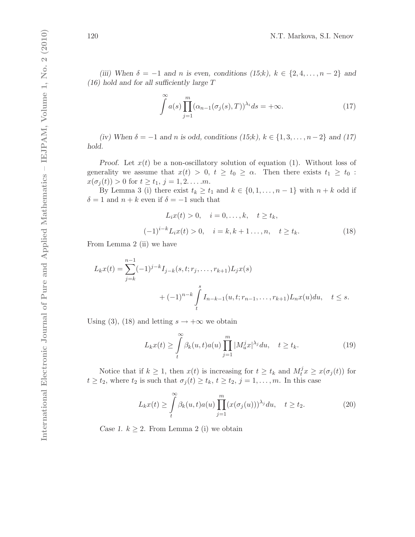(iii) When  $\delta = -1$  and n is even, conditions (15;k),  $k \in \{2, 4, ..., n-2\}$  and  $(16)$  hold and for all sufficiently large T

$$
\int_{0}^{\infty} a(s) \prod_{j=1}^{m} (\alpha_{n-1}(\sigma_j(s), T))^{\lambda_i} ds = +\infty.
$$
 (17)

(iv) When  $\delta = -1$  and n is odd, conditions  $(15; k)$ ,  $k \in \{1, 3, ..., n-2\}$  and  $(17)$ hold.

*Proof.* Let  $x(t)$  be a non-oscillatory solution of equation (1). Without loss of generality we assume that  $x(t) > 0, t \ge t_0 \ge \alpha$ . Then there exists  $t_1 \ge t_0$ :  $x(\sigma_i(t)) > 0$  for  $t \ge t_1, j = 1, 2, ..., m$ .

By Lemma 3 (i) there exist  $t_k \geq t_1$  and  $k \in \{0, 1, \ldots, n-1\}$  with  $n + k$  odd if  $\delta = 1$  and  $n + k$  even if  $\delta = -1$  such that

$$
L_i x(t) > 0, \quad i = 0, ..., k, \quad t \ge t_k,
$$
  

$$
(-1)^{i-k} L_i x(t) > 0, \quad i = k, k+1..., n, \quad t \ge t_k.
$$
 (18)

From Lemma 2 (ii) we have

$$
L_k x(t) = \sum_{j=k}^{n-1} (-1)^{j-k} I_{j-k}(s, t; r_j, \dots, r_{k+1}) L_j x(s)
$$
  
+  $(-1)^{n-k} \int_t^s I_{n-k-1}(u, t; r_{n-1}, \dots, r_{k+1}) L_n x(u) du, \quad t \le s.$ 

Using (3), (18) and letting  $s \to +\infty$  we obtain

$$
L_k x(t) \ge \int\limits_t^\infty \beta_k(u,t) a(u) \prod\limits_{j=1}^m |M_u^j x|^{\lambda_j} du, \quad t \ge t_k. \tag{19}
$$

Notice that if  $k \geq 1$ , then  $x(t)$  is increasing for  $t \geq t_k$  and  $M_t^j x \geq x(\sigma_j(t))$  for  $t \ge t_2$ , where  $t_2$  is such that  $\sigma_j(t) \ge t_k$ ,  $t \ge t_2$ ,  $j = 1, \ldots, m$ . In this case

$$
L_k x(t) \ge \int\limits_t^\infty \beta_k(u,t) a(u) \prod_{j=1}^m (x(\sigma_j(u)))^{\lambda_j} du, \quad t \ge t_2.
$$
 (20)

Case 1.  $k \geq 2$ . From Lemma 2 (i) we obtain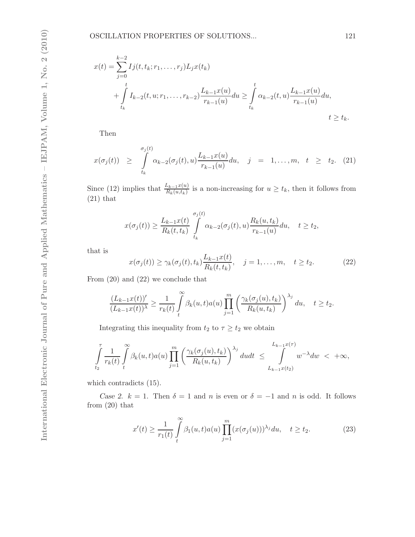$$
x(t) = \sum_{j=0}^{k-2} I_j(t, t_k; r_1, \dots, r_j) L_j x(t_k)
$$
  
+ 
$$
\int_{t_k}^{t} I_{k-2}(t, u; r_1, \dots, r_{k-2}) \frac{L_{k-1} x(u)}{r_{k-1}(u)} du \ge \int_{t_k}^{t} \alpha_{k-2}(t, u) \frac{L_{k-1} x(u)}{r_{k-1}(u)} du,
$$
  
 $t \ge t_k.$ 

Then

$$
x(\sigma_j(t)) \geq \int_{t_k}^{\sigma_j(t)} \alpha_{k-2}(\sigma_j(t), u) \frac{L_{k-1}x(u)}{r_{k-1}(u)} du, \quad j = 1, ..., m, \quad t \geq t_2. \quad (21)
$$

Since (12) implies that  $\frac{L_{k-1}x(u)}{R_k(u,t_k)}$  is a non-increasing for  $u \ge t_k$ , then it follows from  $(21)$  that

$$
x(\sigma_j(t)) \geq \frac{L_{k-1}x(t)}{R_k(t,t_k)} \int\limits_{t_k}^{\sigma_j(t)} \alpha_{k-2}(\sigma_j(t),u) \frac{R_k(u,t_k)}{r_{k-1}(u)} du, \quad t \geq t_2,
$$

that is

$$
x(\sigma_j(t)) \ge \gamma_k(\sigma_j(t), t_k) \frac{L_{k-1}x(t)}{R_k(t, t_k)}, \quad j = 1, \dots, m, \quad t \ge t_2.
$$
 (22)

From (20) and (22) we conclude that

$$
\frac{(L_{k-1}x(t))'}{(L_{k-1}x(t))^\lambda} \ge \frac{1}{r_k(t)} \int\limits_t^\infty \beta_k(u,t) a(u) \prod_{j=1}^m \left( \frac{\gamma_k(\sigma_j(u),t_k)}{R_k(u,t_k)} \right)^{\lambda_j} du, \quad t \ge t_2.
$$

Integrating this inequality from  $t_2$  to  $\tau \geq t_2$  we obtain

$$
\int_{t_2}^{\tau} \frac{1}{r_k(t)} \int_{t}^{\infty} \beta_k(u,t) a(u) \prod_{j=1}^{m} \left( \frac{\gamma_k(\sigma_j(u), t_k)}{R_k(u, t_k)} \right)^{\lambda_j} du dt \leq \int_{L_{k-1}x(t_2)}^{L_{k-1}x(\tau)} w^{-\lambda} dw < +\infty,
$$

which contradicts (15).

Case 2.  $k = 1$ . Then  $\delta = 1$  and n is even or  $\delta = -1$  and n is odd. It follows from (20) that

$$
x'(t) \ge \frac{1}{r_1(t)} \int\limits_t^\infty \beta_1(u,t) a(u) \prod_{j=1}^m (x(\sigma_j(u)))^{\lambda_j} du, \quad t \ge t_2.
$$
 (23)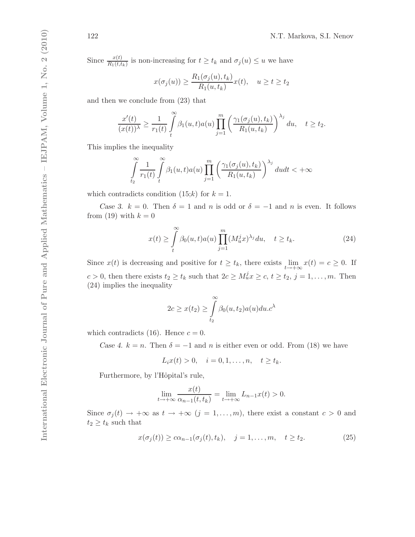Since  $\frac{x(t)}{R_1(t,t_k)}$  is non-increasing for  $t \ge t_k$  and  $\sigma_j(u) \le u$  we have

$$
x(\sigma_j(u)) \ge \frac{R_1(\sigma_j(u), t_k)}{R_1(u, t_k)} x(t), \quad u \ge t \ge t_2
$$

and then we conclude from (23) that

$$
\frac{x'(t)}{(x(t))^\lambda} \ge \frac{1}{r_1(t)} \int\limits_t^\infty \beta_1(u,t) a(u) \prod\limits_{j=1}^m \left( \frac{\gamma_1(\sigma_j(u),t_k)}{R_1(u,t_k)} \right)^{\lambda_j} du, \quad t \ge t_2.
$$

This implies the inequality

$$
\int_{t_2}^{\infty} \frac{1}{r_1(t)} \int_{t}^{\infty} \beta_1(u,t) a(u) \prod_{j=1}^{m} \left( \frac{\gamma_1(\sigma_j(u),t_k)}{R_1(u,t_k)} \right)^{\lambda_j} du dt < +\infty
$$

which contradicts condition  $(15; k)$  for  $k = 1$ .

Case 3.  $k = 0$ . Then  $\delta = 1$  and n is odd or  $\delta = -1$  and n is even. It follows from (19) with  $k = 0$ 

$$
x(t) \ge \int_{t}^{\infty} \beta_0(u,t) a(u) \prod_{j=1}^{m} (M_u^j x)^{\lambda_j} du, \quad t \ge t_k.
$$
 (24)

Since  $x(t)$  is decreasing and positive for  $t \geq t_k$ , there exists  $\lim_{t \to +\infty} x(t) = c \geq 0$ . If  $c > 0$ , then there exists  $t_2 \ge t_k$  such that  $2c \ge M_u^j x \ge c, t \ge t_2, j = 1, \ldots, m$ . Then (24) implies the inequality

$$
2c \ge x(t_2) \ge \int_{t_2}^{\infty} \beta_0(u, t_2) a(u) du.c^{\lambda}
$$

which contradicts (16). Hence  $c = 0$ .

Case 4.  $k = n$ . Then  $\delta = -1$  and n is either even or odd. From (18) we have

$$
L_i x(t) > 0
$$
,  $i = 0, 1, ..., n$ ,  $t \ge t_k$ .

Furthermore, by l'Hôpital's rule,

$$
\lim_{t \to +\infty} \frac{x(t)}{\alpha_{n-1}(t, t_k)} = \lim_{t \to +\infty} L_{n-1}x(t) > 0.
$$

Since  $\sigma_j(t) \to +\infty$  as  $t \to +\infty$   $(j = 1, \ldots, m)$ , there exist a constant  $c > 0$  and  $t_2 \geq t_k$  such that

$$
x(\sigma_j(t)) \ge c\alpha_{n-1}(\sigma_j(t), t_k), \quad j = 1, \dots, m, \quad t \ge t_2.
$$
 (25)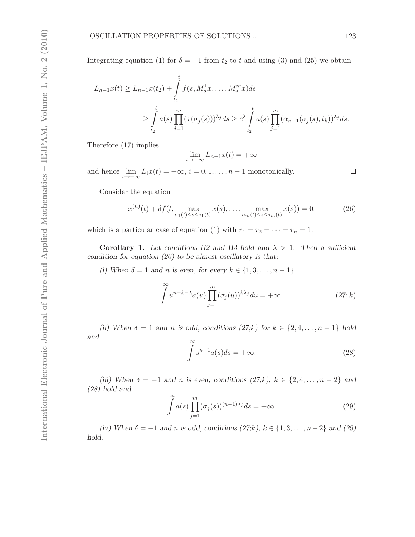Integrating equation (1) for  $\delta = -1$  from  $t_2$  to t and using (3) and (25) we obtain

$$
L_{n-1}x(t) \ge L_{n-1}x(t_2) + \int_{t_2}^t f(s, M_s^1 x, ..., M_s^m x) ds
$$
  
 
$$
\ge \int_{t_2}^t a(s) \prod_{j=1}^m (x(\sigma_j(s)))^{\lambda_j} ds \ge c^{\lambda} \int_{t_2}^t a(s) \prod_{j=1}^m (\alpha_{n-1}(\sigma_j(s), t_k))^{\lambda_j} ds.
$$

Therefore (17) implies

$$
\lim_{t \to +\infty} L_{n-1}x(t) = +\infty
$$

and hence  $\lim_{t \to +\infty} L_i x(t) = +\infty$ ,  $i = 0, 1, ..., n-1$  monotonically.

Consider the equation

$$
x^{(n)}(t) + \delta f(t, \max_{\sigma_1(t) \le s \le \tau_1(t)} x(s), \dots, \max_{\sigma_m(t) \le s \le \tau_m(t)} x(s)) = 0,
$$
 (26)

which is a particular case of equation (1) with  $r_1 = r_2 = \cdots = r_n = 1$ .

**Corollary 1.** Let conditions H2 and H3 hold and  $\lambda > 1$ . Then a sufficient condition for equation  $(26)$  to be almost oscillatory is that:

(i) When  $\delta = 1$  and n is even, for every  $k \in \{1, 3, \ldots, n - 1\}$ 

$$
\int u^{n-k-\lambda} a(u) \prod_{j=1}^{m} (\sigma_j(u))^{k\lambda_j} du = +\infty.
$$
 (27; *k*)

(ii) When  $\delta = 1$  and n is odd, conditions  $(27; k)$  for  $k \in \{2, 4, \ldots, n-1\}$  hold and

$$
\int_{-\infty}^{\infty} s^{n-1} a(s) ds = +\infty.
$$
\n(28)

(iii) When  $\delta = -1$  and n is even, conditions  $(27; k)$ ,  $k \in \{2, 4, ..., n-2\}$  and (28) hold and  $\infty$ 

$$
\int_{-\infty}^{\infty} a(s) \prod_{j=1}^{m} (\sigma_j(s))^{(n-1)\lambda_j} ds = +\infty.
$$
\n(29)

(iv) When  $\delta = -1$  and n is odd, conditions  $(27; k)$ ,  $k \in \{1, 3, \ldots, n-2\}$  and  $(29)$ hold.

 $\Box$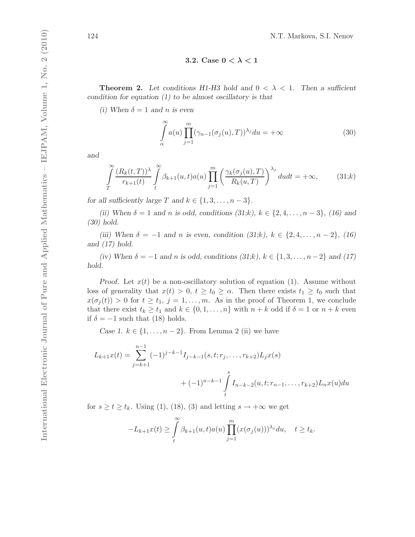3.2. Case  $0 < \lambda < 1$ 

**Theorem 2.** Let conditions H1-H3 hold and  $0 < \lambda < 1$ . Then a sufficient condition for equation  $(1)$  to be almost oscillatory is that

(i) When  $\delta = 1$  and n is even

$$
\int_{\alpha}^{\infty} a(u) \prod_{j=1}^{m} (\gamma_{n-1}(\sigma_j(u), T))^{\lambda_j} du = +\infty
$$
\n(30)

and

$$
\int_{T}^{\infty} \frac{(R_k(t,T))^{\lambda}}{r_{k+1}(t)} \int_{t}^{\infty} \beta_{k+1}(u,t) a(u) \prod_{j=1}^{m} \left( \frac{\gamma_k(\sigma_j(u),T)}{R_k(u,T)} \right)^{\lambda_j} du dt = +\infty, \tag{31;k}
$$

for all sufficiently large T and  $k \in \{1, 3, \ldots, n-3\}.$ 

(ii) When  $\delta = 1$  and n is odd, conditions  $(31; k)$ ,  $k \in \{2, 4, ..., n-3\}$ , (16) and (30) hold.

(iii) When  $\delta = -1$  and n is even, condition  $(31; k)$ ,  $k \in \{2, 4, ..., n-2\}$ , (16) and  $(17)$  hold.

(iv) When  $\delta = -1$  and n is odd, conditions  $(31; k)$ ,  $k \in \{1, 3, \ldots, n-2\}$  and  $(17)$ hold.

*Proof.* Let  $x(t)$  be a non-oscillatory solution of equation (1). Assume without loss of generality that  $x(t) > 0, t \ge t_0 \ge \alpha$ . Then there exists  $t_1 \ge t_0$  such that  $x(\sigma_j(t)) > 0$  for  $t \geq t_1, j = 1, \ldots, m$ . As in the proof of Theorem 1, we conclude that there exist  $t_k \geq t_1$  and  $k \in \{0, 1, \ldots, n\}$  with  $n + k$  odd if  $\delta = 1$  or  $n + k$  even if  $\delta = -1$  such that (18) holds.

Case 1.  $k \in \{1, \ldots, n-2\}$ . From Lemma 2 (ii) we have

$$
L_{k+1}x(t) = \sum_{j=k+1}^{n-1} (-1)^{j-k-1} I_{j-k-1}(s, t; r_j, \dots, r_{k+2}) L_j x(s)
$$
  
+ 
$$
(-1)^{n-k-1} \int_{t}^{s} I_{n-k-2}(u, t; r_{n-1}, \dots, r_{k+2}) L_n x(u) du
$$

for  $s \ge t \ge t_k$ . Using (1), (18), (3) and letting  $s \to +\infty$  we get

$$
-L_{k+1}x(t) \geq \int_{t}^{\infty} \beta_{k+1}(u,t)a(u) \prod_{j=1}^{m} (x(\sigma_j(u)))^{\lambda_j} du, \quad t \geq t_k.
$$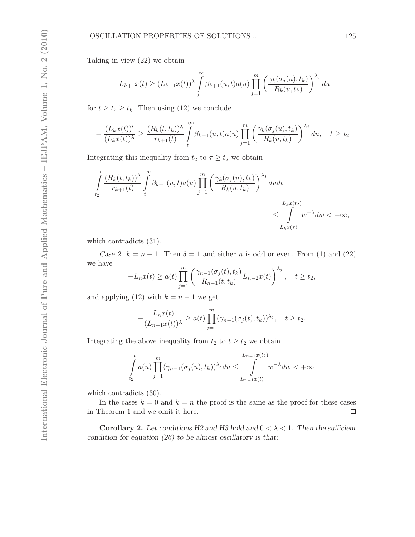Taking in view (22) we obtain

$$
-L_{k+1}x(t) \ge (L_{k-1}x(t))^\lambda \int_t^\infty \beta_{k+1}(u,t)a(u) \prod_{j=1}^m \left(\frac{\gamma_k(\sigma_j(u),t_k)}{R_k(u,t_k)}\right)^{\lambda_j} du
$$

for  $t \geq t_2 \geq t_k$ . Then using (12) we conclude

$$
\frac{(L_k x(t))'}{(L_k x(t))^\lambda} \ge \frac{(R_k(t,t_k))^\lambda}{r_{k+1}(t)} \int\limits_t^\infty \beta_{k+1}(u,t) a(u) \prod_{j=1}^m \left( \frac{\gamma_k(\sigma_j(u),t_k)}{R_k(u,t_k)} \right)^{\lambda_j} du, \quad t \ge t_2
$$

Integrating this inequality from  $t_2$  to  $\tau \geq t_2$  we obtain

$$
\int_{t_2}^{\tau} \frac{(R_k(t, t_k))^{\lambda}}{r_{k+1}(t)} \int_{t}^{\infty} \beta_{k+1}(u, t) a(u) \prod_{j=1}^{m} \left( \frac{\gamma_k(\sigma_j(u), t_k)}{R_k(u, t_k)} \right)^{\lambda_j} du dt
$$
\n
$$
\leq \int_{L_k x(\tau)}^{L_k x(t_2)} w^{-\lambda} dw < +\infty,
$$

which contradicts (31).

−

Case 2.  $k = n - 1$ . Then  $\delta = 1$  and either n is odd or even. From (1) and (22) we have

$$
-L_nx(t) \ge a(t)\prod_{j=1}^m \left(\frac{\gamma_{n-1}(\sigma_j(t),t_k)}{R_{n-1}(t,t_k)}L_{n-2}x(t)\right)^{\lambda_j}, \quad t \ge t_2,
$$

and applying (12) with  $k = n - 1$  we get

$$
-\frac{L_nx(t)}{(L_{n-1}x(t))\lambda} \ge a(t)\prod_{j=1}^m (\gamma_{n-1}(\sigma_j(t),t_k))^{\lambda_j}, \quad t \ge t_2.
$$

Integrating the above inequality from  $t_2$  to  $t \geq t_2$  we obtain

$$
\int_{t_2}^t a(u) \prod_{j=1}^m (\gamma_{n-1}(\sigma_j(u), t_k))^{\lambda_j} du \leq \int_{L_{n-1}x(t)}^{L_{n-1}x(t_2)} w^{-\lambda} dw < +\infty
$$

which contradicts (30).

In the cases  $k = 0$  and  $k = n$  the proof is the same as the proof for these cases in Theorem 1 and we omit it here.  $\Box$ 

**Corollary 2.** Let conditions H2 and H3 hold and  $0 < \lambda < 1$ . Then the sufficient condition for equation  $(26)$  to be almost oscillatory is that: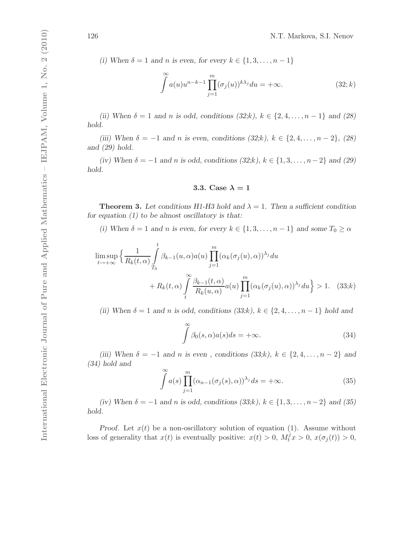(i) When  $\delta = 1$  and n is even, for every  $k \in \{1, 3, \ldots, n-1\}$ 

$$
\int_{-\infty}^{\infty} a(u)u^{n-k-1} \prod_{j=1}^{m} (\sigma_j(u))^{k\lambda_j} du = +\infty.
$$
 (32; *k*)

(ii) When  $\delta = 1$  and n is odd, conditions  $(32; k)$ ,  $k \in \{2, 4, ..., n-1\}$  and  $(28)$ hold.

(iii) When  $\delta = -1$  and n is even, conditions  $(32; k)$ ,  $k \in \{2, 4, ..., n-2\}$ ,  $(28)$ and (29) hold.

(iv) When  $\delta = -1$  and n is odd, conditions  $(32; k)$ ,  $k \in \{1, 3, \ldots, n-2\}$  and  $(29)$ hold.

#### 3.3. Case  $\lambda = 1$

**Theorem 3.** Let conditions H1-H3 hold and  $\lambda = 1$ . Then a sufficient condition for equation  $(1)$  to be almost oscillatory is that:

(i) When  $\delta = 1$  and n is even, for every  $k \in \{1, 3, ..., n-1\}$  and some  $T_0 \ge \alpha$ 

$$
\limsup_{t \to +\infty} \left\{ \frac{1}{R_k(t,\alpha)} \int_{T_0}^t \beta_{k-1}(u,\alpha) a(u) \prod_{j=1}^m (\alpha_k(\sigma_j(u),\alpha))^{\lambda_j} du + R_k(t,\alpha) \int_t^{\infty} \frac{\beta_{k-1}(t,\alpha)}{R_k(u,\alpha)} a(u) \prod_{j=1}^m (\alpha_k(\sigma_j(u),\alpha))^{\lambda_j} du \right\} > 1. \quad (33;k)
$$

(ii) When  $\delta = 1$  and n is odd, conditions  $(33; k)$ ,  $k \in \{2, 4, \ldots, n-1\}$  hold and

$$
\int_{0}^{\infty} \beta_0(s, \alpha) a(s) ds = +\infty.
$$
\n(34)

(iii) When  $\delta = -1$  and n is even, conditions  $(33; k)$ ,  $k \in \{2, 4, ..., n-2\}$  and (34) hold and

$$
\int_{0}^{\infty} a(s) \prod_{j=1}^{m} (\alpha_{n-1}(\sigma_j(s), \alpha))^{\lambda_j} ds = +\infty.
$$
 (35)

(iv) When  $\delta = -1$  and n is odd, conditions  $(33; k)$ ,  $k \in \{1, 3, \ldots, n-2\}$  and  $(35)$ hold.

Proof. Let  $x(t)$  be a non-oscillatory solution of equation (1). Assume without loss of generality that  $x(t)$  is eventually positive:  $x(t) > 0$ ,  $M_t^j x > 0$ ,  $x(\sigma_j(t)) > 0$ ,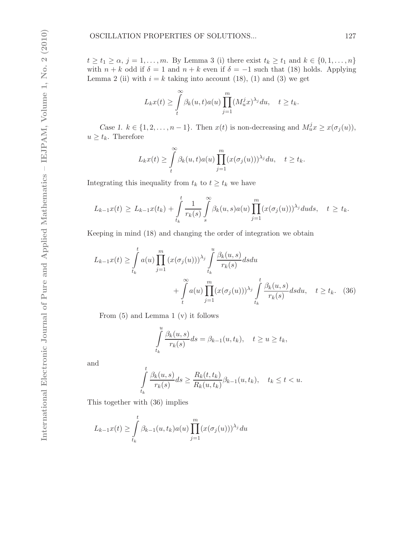$t \geq t_1 \geq \alpha, j = 1, \ldots, m$ . By Lemma 3 (i) there exist  $t_k \geq t_1$  and  $k \in \{0, 1, \ldots, n\}$ with  $n + k$  odd if  $\delta = 1$  and  $n + k$  even if  $\delta = -1$  such that (18) holds. Applying Lemma 2 (ii) with  $i = k$  taking into account (18), (1) and (3) we get

$$
L_kx(t) \geq \int\limits_t^\infty \beta_k(u,t)a(u) \prod\limits_{j=1}^m (M_u^jx)^{\lambda_j} du, \quad t \geq t_k.
$$

Case 1.  $k \in \{1, 2, ..., n-1\}$ . Then  $x(t)$  is non-decreasing and  $M_u^j x \geq x(\sigma_j(u))$ ,  $u \geq t_k$ . Therefore

$$
L_kx(t) \geq \int\limits_t^\infty \beta_k(u,t)a(u) \prod_{j=1}^m (x(\sigma_j(u)))^{\lambda_j} du, \quad t \geq t_k.
$$

Integrating this inequality from  $t_k$  to  $t \geq t_k$  we have

$$
L_{k-1}x(t) \geq L_{k-1}x(t_k) + \int\limits_{t_k}^t \frac{1}{r_k(s)} \int\limits_s^\infty \beta_k(u,s)a(u) \prod\limits_{j=1}^m (x(\sigma_j(u)))^{\lambda_j}duds, \quad t \geq t_k.
$$

Keeping in mind (18) and changing the order of integration we obtain

$$
L_{k-1}x(t) \geq \int_{t_k}^t a(u) \prod_{j=1}^m (x(\sigma_j(u)))^{\lambda_j} \int_{t_k}^u \frac{\beta_k(u,s)}{r_k(s)} ds du
$$
  
+ 
$$
\int_{t}^{\infty} a(u) \prod_{j=1}^m (x(\sigma_j(u)))^{\lambda_j} \int_{t_k}^t \frac{\beta_k(u,s)}{r_k(s)} ds du, \quad t \geq t_k. \quad (36)
$$

From (5) and Lemma 1 (v) it follows

$$
\int_{t_k}^u \frac{\beta_k(u,s)}{r_k(s)} ds = \beta_{k-1}(u,t_k), \quad t \ge u \ge t_k,
$$

and

$$
\int_{t_k}^t \frac{\beta_k(u,s)}{r_k(s)} ds \ge \frac{R_k(t,t_k)}{R_k(u,t_k)} \beta_{k-1}(u,t_k), \quad t_k \le t < u.
$$

This together with (36) implies

$$
L_{k-1}x(t) \ge \int_{t_k}^t \beta_{k-1}(u, t_k) a(u) \prod_{j=1}^m (x(\sigma_j(u)))^{\lambda_j} du
$$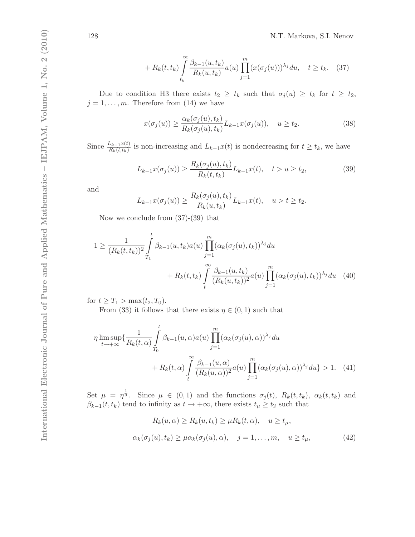$$
+ R_k(t, t_k) \int_{t_k}^{\infty} \frac{\beta_{k-1}(u, t_k)}{R_k(u, t_k)} a(u) \prod_{j=1}^m (x(\sigma_j(u)))^{\lambda_j} du, \quad t \ge t_k. \tag{37}
$$

Due to condition H3 there exists  $t_2 \geq t_k$  such that  $\sigma_j(u) \geq t_k$  for  $t \geq t_2$ ,  $j = 1, \ldots, m$ . Therefore from (14) we have

$$
x(\sigma_j(u)) \ge \frac{\alpha_k(\sigma_j(u), t_k)}{R_k(\sigma_j(u), t_k)} L_{k-1} x(\sigma_j(u)), \quad u \ge t_2.
$$
 (38)

Since  $\frac{L_{k-1}x(t)}{R_k(t,t_k)}$  is non-increasing and  $L_{k-1}x(t)$  is nondecreasing for  $t \geq t_k$ , we have

$$
L_{k-1}x(\sigma_j(u)) \ge \frac{R_k(\sigma_j(u), t_k)}{R_k(t, t_k)} L_{k-1}x(t), \quad t > u \ge t_2,
$$
\n(39)

and

$$
L_{k-1}x(\sigma_j(u)) \ge \frac{R_k(\sigma_j(u), t_k)}{R_k(u, t_k)} L_{k-1}x(t), \quad u > t \ge t_2.
$$

Now we conclude from (37)-(39) that

$$
1 \geq \frac{1}{(R_k(t, t_k))^2} \int_{T_1}^t \beta_{k-1}(u, t_k) a(u) \prod_{j=1}^m (\alpha_k(\sigma_j(u), t_k))^{\lambda_j} du + R_k(t, t_k) \int_{t}^{\infty} \frac{\beta_{k-1}(u, t_k)}{(R_k(u, t_k))^2} a(u) \prod_{j=1}^m (\alpha_k(\sigma_j(u), t_k))^{\lambda_j} du
$$
(40)

for  $t \geq T_1 > \max(t_2, T_0)$ .

From (33) it follows that there exists  $\eta \in (0,1)$  such that

$$
\eta \limsup_{t \to +\infty} \left\{ \frac{1}{R_k(t,\alpha)} \int_{T_0}^t \beta_{k-1}(u,\alpha) a(u) \prod_{j=1}^m (\alpha_k(\sigma_j(u),\alpha))^{\lambda_j} du + R_k(t,\alpha) \int_t^{\infty} \frac{\beta_{k-1}(u,\alpha)}{(R_k(u,\alpha))^2} a(u) \prod_{j=1}^m (\alpha_k(\sigma_j(u),\alpha))^{\lambda_j} du \right\} > 1. \tag{41}
$$

Set  $\mu = \eta^{\frac{1}{3}}$ . Since  $\mu \in (0,1)$  and the functions  $\sigma_j(t)$ ,  $R_k(t,t_k)$ ,  $\alpha_k(t,t_k)$  and  $\beta_{k-1}(t, t_k)$  tend to infinity as  $t \to +\infty$ , there exists  $t_\mu \geq t_2$  such that

$$
R_k(u, \alpha) \ge R_k(u, t_k) \ge \mu R_k(t, \alpha), \quad u \ge t_\mu,
$$
  

$$
\alpha_k(\sigma_j(u), t_k) \ge \mu \alpha_k(\sigma_j(u), \alpha), \quad j = 1, \dots, m, \quad u \ge t_\mu,
$$
 (42)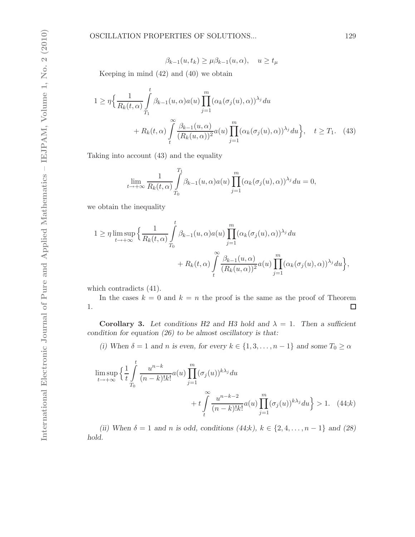$$
\beta_{k-1}(u, t_k) \ge \mu \beta_{k-1}(u, \alpha), \quad u \ge t_\mu
$$

Keeping in mind (42) and (40) we obtain

$$
1 \geq \eta \Big\{ \frac{1}{R_k(t,\alpha)} \int_{T_1}^t \beta_{k-1}(u,\alpha) a(u) \prod_{j=1}^m (\alpha_k(\sigma_j(u),\alpha))^{\lambda_j} du + R_k(t,\alpha) \int_t^\infty \frac{\beta_{k-1}(u,\alpha)}{(R_k(u,\alpha))^2} a(u) \prod_{j=1}^m (\alpha_k(\sigma_j(u),\alpha))^{\lambda_j} du \Big\}, \quad t \geq T_1. \quad (43)
$$

Taking into account (43) and the equality

$$
\lim_{t \to +\infty} \frac{1}{R_k(t,\alpha)} \int_{T_0}^{T_1} \beta_{k-1}(u,\alpha) a(u) \prod_{j=1}^m (\alpha_k(\sigma_j(u),\alpha))^{\lambda_j} du = 0,
$$

we obtain the inequality

$$
1 \geq \eta \limsup_{t \to +\infty} \left\{ \frac{1}{R_k(t,\alpha)} \int_{T_0}^t \beta_{k-1}(u,\alpha) a(u) \prod_{j=1}^m (\alpha_k(\sigma_j(u),\alpha))^{\lambda_j} du + R_k(t,\alpha) \int_t^{\infty} \frac{\beta_{k-1}(u,\alpha)}{(R_k(u,\alpha))^2} a(u) \prod_{j=1}^m (\alpha_k(\sigma_j(u),\alpha))^{\lambda_j} du \right\},\,
$$

which contradicts (41).

In the cases  $k = 0$  and  $k = n$  the proof is the same as the proof of Theorem 1.  $\Box$ 

Corollary 3. Let conditions H2 and H3 hold and  $\lambda = 1$ . Then a sufficient condition for equation  $(26)$  to be almost oscillatory is that:

(i) When  $\delta = 1$  and n is even, for every  $k \in \{1, 3, ..., n - 1\}$  and some  $T_0 \ge \alpha$ 

$$
\limsup_{t \to +\infty} \left\{ \frac{1}{t} \int_{T_0}^t \frac{u^{n-k}}{(n-k)!k!} a(u) \prod_{j=1}^m (\sigma_j(u))^{k\lambda_j} du + t \int_{t}^{\infty} \frac{u^{n-k-2}}{(n-k)!k!} a(u) \prod_{j=1}^m (\sigma_j(u))^{k\lambda_j} du \right\} > 1. \quad (44; k)
$$

(ii) When  $\delta = 1$  and n is odd, conditions  $(44; k)$ ,  $k \in \{2, 4, ..., n - 1\}$  and  $(28)$ hold.